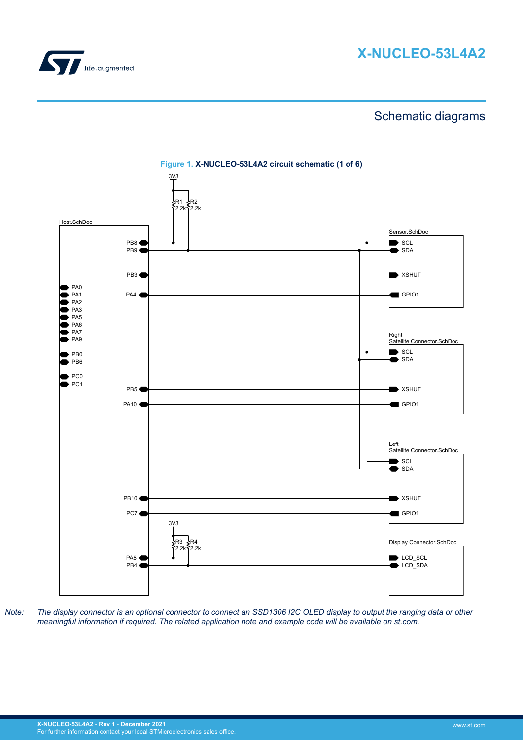

# **X-NUCLEO-53L4A2**

# Schematic diagrams



**Figure 1. X-NUCLEO-53L4A2 circuit schematic (1 of 6)**

*Note: The display connector is an optional connector to connect an SSD1306 I2C OLED display to output the ranging data or other meaningful information if required. The related application note and example code will be available on st.com.*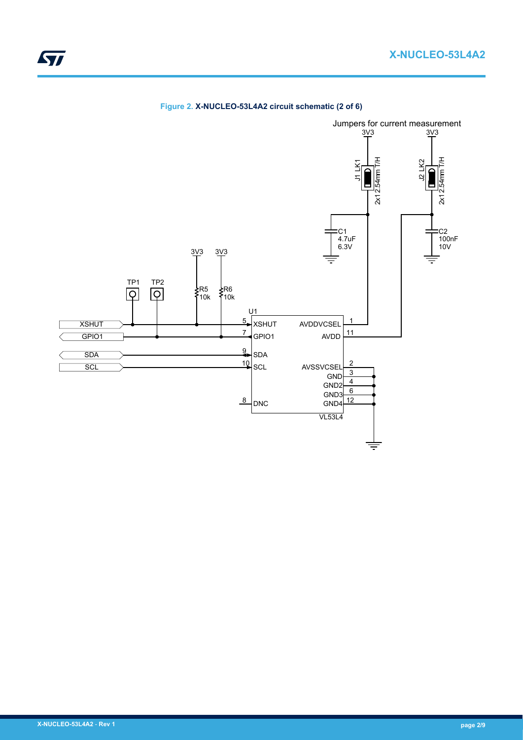

# **Figure 2. X-NUCLEO-53L4A2 circuit schematic (2 of 6)**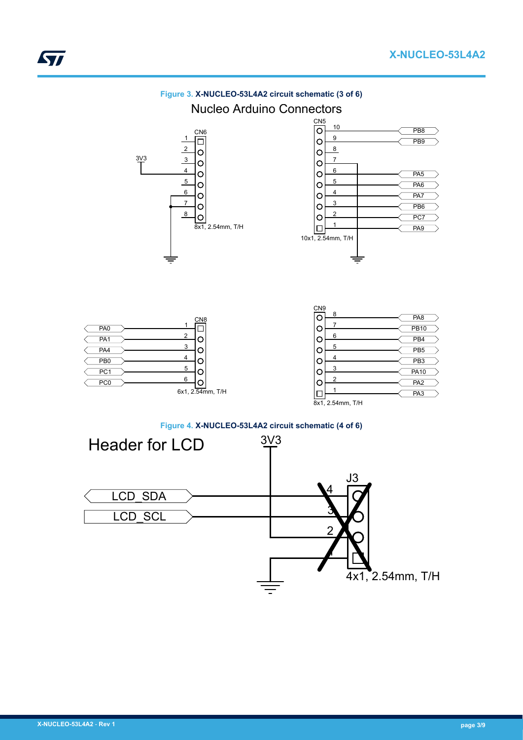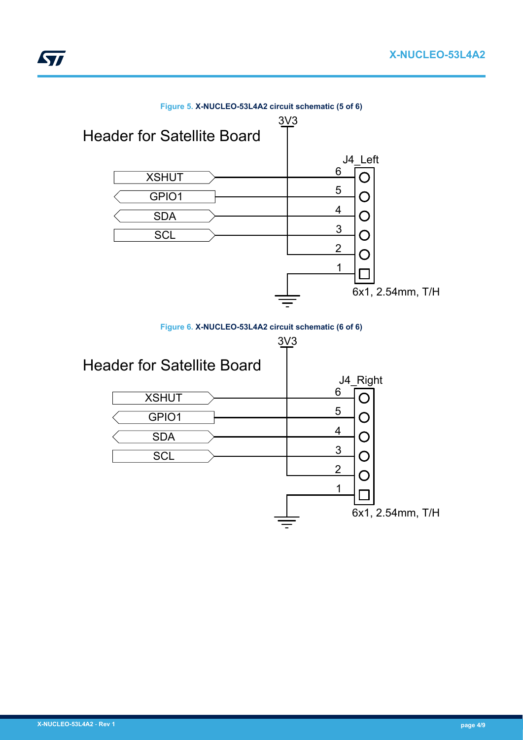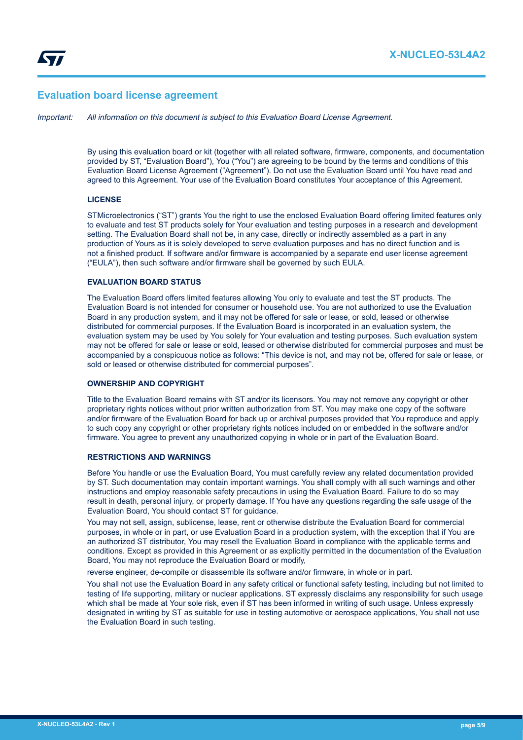# **Evaluation board license agreement**

*Important: All information on this document is subject to this Evaluation Board License Agreement.*

By using this evaluation board or kit (together with all related software, firmware, components, and documentation provided by ST, "Evaluation Board"), You ("You") are agreeing to be bound by the terms and conditions of this Evaluation Board License Agreement ("Agreement"). Do not use the Evaluation Board until You have read and agreed to this Agreement. Your use of the Evaluation Board constitutes Your acceptance of this Agreement.

#### **LICENSE**

STMicroelectronics ("ST") grants You the right to use the enclosed Evaluation Board offering limited features only to evaluate and test ST products solely for Your evaluation and testing purposes in a research and development setting. The Evaluation Board shall not be, in any case, directly or indirectly assembled as a part in any production of Yours as it is solely developed to serve evaluation purposes and has no direct function and is not a finished product. If software and/or firmware is accompanied by a separate end user license agreement ("EULA"), then such software and/or firmware shall be governed by such EULA.

#### **EVALUATION BOARD STATUS**

The Evaluation Board offers limited features allowing You only to evaluate and test the ST products. The Evaluation Board is not intended for consumer or household use. You are not authorized to use the Evaluation Board in any production system, and it may not be offered for sale or lease, or sold, leased or otherwise distributed for commercial purposes. If the Evaluation Board is incorporated in an evaluation system, the evaluation system may be used by You solely for Your evaluation and testing purposes. Such evaluation system may not be offered for sale or lease or sold, leased or otherwise distributed for commercial purposes and must be accompanied by a conspicuous notice as follows: "This device is not, and may not be, offered for sale or lease, or sold or leased or otherwise distributed for commercial purposes".

# **OWNERSHIP AND COPYRIGHT**

Title to the Evaluation Board remains with ST and/or its licensors. You may not remove any copyright or other proprietary rights notices without prior written authorization from ST. You may make one copy of the software and/or firmware of the Evaluation Board for back up or archival purposes provided that You reproduce and apply to such copy any copyright or other proprietary rights notices included on or embedded in the software and/or firmware. You agree to prevent any unauthorized copying in whole or in part of the Evaluation Board.

#### **RESTRICTIONS AND WARNINGS**

Before You handle or use the Evaluation Board, You must carefully review any related documentation provided by ST. Such documentation may contain important warnings. You shall comply with all such warnings and other instructions and employ reasonable safety precautions in using the Evaluation Board. Failure to do so may result in death, personal injury, or property damage. If You have any questions regarding the safe usage of the Evaluation Board, You should contact ST for guidance.

You may not sell, assign, sublicense, lease, rent or otherwise distribute the Evaluation Board for commercial purposes, in whole or in part, or use Evaluation Board in a production system, with the exception that if You are an authorized ST distributor, You may resell the Evaluation Board in compliance with the applicable terms and conditions. Except as provided in this Agreement or as explicitly permitted in the documentation of the Evaluation Board, You may not reproduce the Evaluation Board or modify,

reverse engineer, de-compile or disassemble its software and/or firmware, in whole or in part.

You shall not use the Evaluation Board in any safety critical or functional safety testing, including but not limited to testing of life supporting, military or nuclear applications. ST expressly disclaims any responsibility for such usage which shall be made at Your sole risk, even if ST has been informed in writing of such usage. Unless expressly designated in writing by ST as suitable for use in testing automotive or aerospace applications, You shall not use the Evaluation Board in such testing.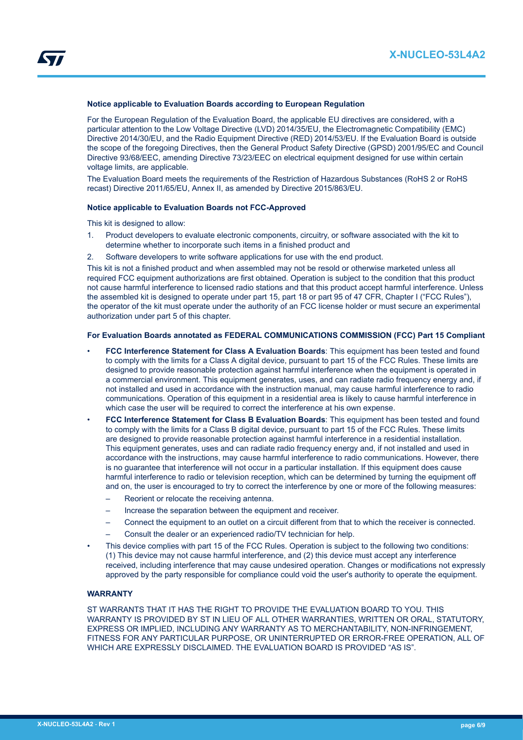#### **Notice applicable to Evaluation Boards according to European Regulation**

For the European Regulation of the Evaluation Board, the applicable EU directives are considered, with a particular attention to the Low Voltage Directive (LVD) 2014/35/EU, the Electromagnetic Compatibility (EMC) Directive 2014/30/EU, and the Radio Equipment Directive (RED) 2014/53/EU. If the Evaluation Board is outside the scope of the foregoing Directives, then the General Product Safety Directive (GPSD) 2001/95/EC and Council Directive 93/68/EEC, amending Directive 73/23/EEC on electrical equipment designed for use within certain voltage limits, are applicable.

The Evaluation Board meets the requirements of the Restriction of Hazardous Substances (RoHS 2 or RoHS recast) Directive 2011/65/EU, Annex II, as amended by Directive 2015/863/EU.

#### **Notice applicable to Evaluation Boards not FCC-Approved**

This kit is designed to allow:

- 1. Product developers to evaluate electronic components, circuitry, or software associated with the kit to determine whether to incorporate such items in a finished product and
- 2. Software developers to write software applications for use with the end product.

This kit is not a finished product and when assembled may not be resold or otherwise marketed unless all required FCC equipment authorizations are first obtained. Operation is subject to the condition that this product not cause harmful interference to licensed radio stations and that this product accept harmful interference. Unless the assembled kit is designed to operate under part 15, part 18 or part 95 of 47 CFR, Chapter I ("FCC Rules"), the operator of the kit must operate under the authority of an FCC license holder or must secure an experimental authorization under part 5 of this chapter.

#### **For Evaluation Boards annotated as FEDERAL COMMUNICATIONS COMMISSION (FCC) Part 15 Compliant**

- **FCC Interference Statement for Class A Evaluation Boards**: This equipment has been tested and found to comply with the limits for a Class A digital device, pursuant to part 15 of the FCC Rules. These limits are designed to provide reasonable protection against harmful interference when the equipment is operated in a commercial environment. This equipment generates, uses, and can radiate radio frequency energy and, if not installed and used in accordance with the instruction manual, may cause harmful interference to radio communications. Operation of this equipment in a residential area is likely to cause harmful interference in which case the user will be required to correct the interference at his own expense.
- **FCC Interference Statement for Class B Evaluation Boards**: This equipment has been tested and found to comply with the limits for a Class B digital device, pursuant to part 15 of the FCC Rules. These limits are designed to provide reasonable protection against harmful interference in a residential installation. This equipment generates, uses and can radiate radio frequency energy and, if not installed and used in accordance with the instructions, may cause harmful interference to radio communications. However, there is no guarantee that interference will not occur in a particular installation. If this equipment does cause harmful interference to radio or television reception, which can be determined by turning the equipment off and on, the user is encouraged to try to correct the interference by one or more of the following measures:
	- Reorient or relocate the receiving antenna.
	- Increase the separation between the equipment and receiver.
	- Connect the equipment to an outlet on a circuit different from that to which the receiver is connected.
	- Consult the dealer or an experienced radio/TV technician for help.
- This device complies with part 15 of the FCC Rules. Operation is subject to the following two conditions: (1) This device may not cause harmful interference, and (2) this device must accept any interference received, including interference that may cause undesired operation. Changes or modifications not expressly approved by the party responsible for compliance could void the user's authority to operate the equipment.

#### **WARRANTY**

ST WARRANTS THAT IT HAS THE RIGHT TO PROVIDE THE EVALUATION BOARD TO YOU. THIS WARRANTY IS PROVIDED BY ST IN LIEU OF ALL OTHER WARRANTIES, WRITTEN OR ORAL, STATUTORY, EXPRESS OR IMPLIED, INCLUDING ANY WARRANTY AS TO MERCHANTABILITY, NON-INFRINGEMENT, FITNESS FOR ANY PARTICULAR PURPOSE, OR UNINTERRUPTED OR ERROR-FREE OPERATION, ALL OF WHICH ARE EXPRESSLY DISCLAIMED. THE EVALUATION BOARD IS PROVIDED "AS IS".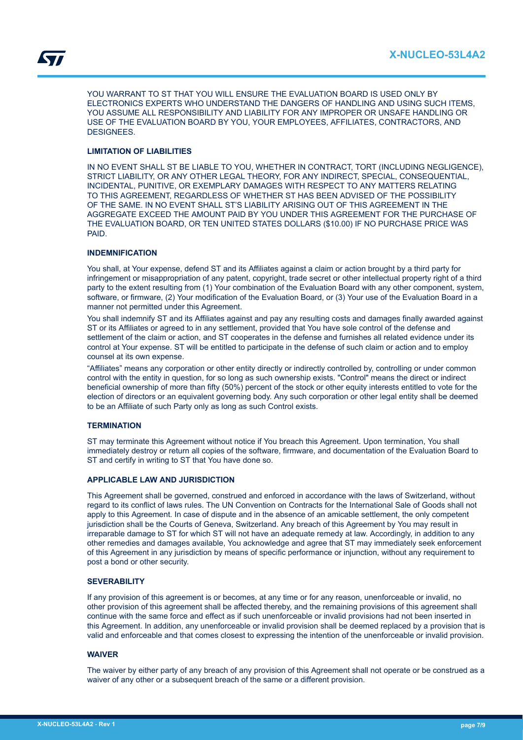YOU WARRANT TO ST THAT YOU WILL ENSURE THE EVALUATION BOARD IS USED ONLY BY ELECTRONICS EXPERTS WHO UNDERSTAND THE DANGERS OF HANDLING AND USING SUCH ITEMS, YOU ASSUME ALL RESPONSIBILITY AND LIABILITY FOR ANY IMPROPER OR UNSAFE HANDLING OR USE OF THE EVALUATION BOARD BY YOU, YOUR EMPLOYEES, AFFILIATES, CONTRACTORS, AND DESIGNEES.

# **LIMITATION OF LIABILITIES**

IN NO EVENT SHALL ST BE LIABLE TO YOU, WHETHER IN CONTRACT, TORT (INCLUDING NEGLIGENCE), STRICT LIABILITY, OR ANY OTHER LEGAL THEORY, FOR ANY INDIRECT, SPECIAL, CONSEQUENTIAL, INCIDENTAL, PUNITIVE, OR EXEMPLARY DAMAGES WITH RESPECT TO ANY MATTERS RELATING TO THIS AGREEMENT, REGARDLESS OF WHETHER ST HAS BEEN ADVISED OF THE POSSIBILITY OF THE SAME. IN NO EVENT SHALL ST'S LIABILITY ARISING OUT OF THIS AGREEMENT IN THE AGGREGATE EXCEED THE AMOUNT PAID BY YOU UNDER THIS AGREEMENT FOR THE PURCHASE OF THE EVALUATION BOARD, OR TEN UNITED STATES DOLLARS (\$10.00) IF NO PURCHASE PRICE WAS PAID.

# **INDEMNIFICATION**

You shall, at Your expense, defend ST and its Affiliates against a claim or action brought by a third party for infringement or misappropriation of any patent, copyright, trade secret or other intellectual property right of a third party to the extent resulting from (1) Your combination of the Evaluation Board with any other component, system, software, or firmware, (2) Your modification of the Evaluation Board, or (3) Your use of the Evaluation Board in a manner not permitted under this Agreement.

You shall indemnify ST and its Affiliates against and pay any resulting costs and damages finally awarded against ST or its Affiliates or agreed to in any settlement, provided that You have sole control of the defense and settlement of the claim or action, and ST cooperates in the defense and furnishes all related evidence under its control at Your expense. ST will be entitled to participate in the defense of such claim or action and to employ counsel at its own expense.

"Affiliates" means any corporation or other entity directly or indirectly controlled by, controlling or under common control with the entity in question, for so long as such ownership exists. "Control" means the direct or indirect beneficial ownership of more than fifty (50%) percent of the stock or other equity interests entitled to vote for the election of directors or an equivalent governing body. Any such corporation or other legal entity shall be deemed to be an Affiliate of such Party only as long as such Control exists.

# **TERMINATION**

ST may terminate this Agreement without notice if You breach this Agreement. Upon termination, You shall immediately destroy or return all copies of the software, firmware, and documentation of the Evaluation Board to ST and certify in writing to ST that You have done so.

# **APPLICABLE LAW AND JURISDICTION**

This Agreement shall be governed, construed and enforced in accordance with the laws of Switzerland, without regard to its conflict of laws rules. The UN Convention on Contracts for the International Sale of Goods shall not apply to this Agreement. In case of dispute and in the absence of an amicable settlement, the only competent jurisdiction shall be the Courts of Geneva, Switzerland. Any breach of this Agreement by You may result in irreparable damage to ST for which ST will not have an adequate remedy at law. Accordingly, in addition to any other remedies and damages available, You acknowledge and agree that ST may immediately seek enforcement of this Agreement in any jurisdiction by means of specific performance or injunction, without any requirement to post a bond or other security.

# **SEVERABILITY**

If any provision of this agreement is or becomes, at any time or for any reason, unenforceable or invalid, no other provision of this agreement shall be affected thereby, and the remaining provisions of this agreement shall continue with the same force and effect as if such unenforceable or invalid provisions had not been inserted in this Agreement. In addition, any unenforceable or invalid provision shall be deemed replaced by a provision that is valid and enforceable and that comes closest to expressing the intention of the unenforceable or invalid provision.

#### **WAIVER**

The waiver by either party of any breach of any provision of this Agreement shall not operate or be construed as a waiver of any other or a subsequent breach of the same or a different provision.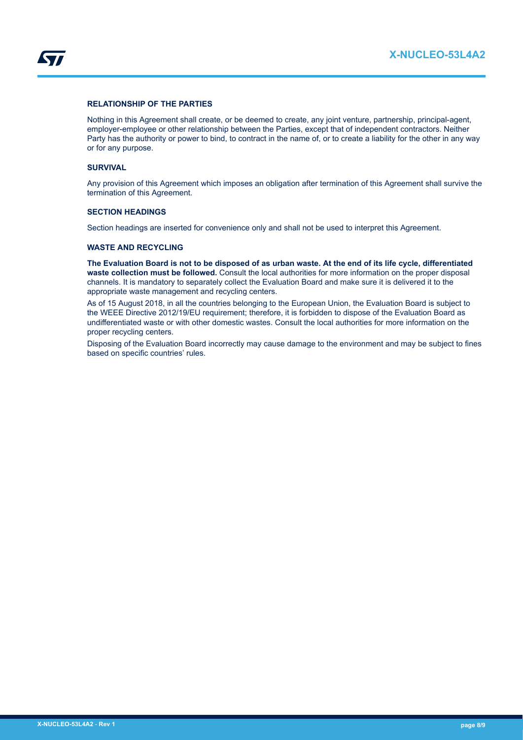

# **RELATIONSHIP OF THE PARTIES**

Nothing in this Agreement shall create, or be deemed to create, any joint venture, partnership, principal-agent, employer-employee or other relationship between the Parties, except that of independent contractors. Neither Party has the authority or power to bind, to contract in the name of, or to create a liability for the other in any way or for any purpose.

#### **SURVIVAL**

Any provision of this Agreement which imposes an obligation after termination of this Agreement shall survive the termination of this Agreement.

#### **SECTION HEADINGS**

Section headings are inserted for convenience only and shall not be used to interpret this Agreement.

### **WASTE AND RECYCLING**

**The Evaluation Board is not to be disposed of as urban waste. At the end of its life cycle, differentiated waste collection must be followed.** Consult the local authorities for more information on the proper disposal channels. It is mandatory to separately collect the Evaluation Board and make sure it is delivered it to the appropriate waste management and recycling centers.

As of 15 August 2018, in all the countries belonging to the European Union, the Evaluation Board is subject to the WEEE Directive 2012/19/EU requirement; therefore, it is forbidden to dispose of the Evaluation Board as undifferentiated waste or with other domestic wastes. Consult the local authorities for more information on the proper recycling centers.

Disposing of the Evaluation Board incorrectly may cause damage to the environment and may be subject to fines based on specific countries' rules.